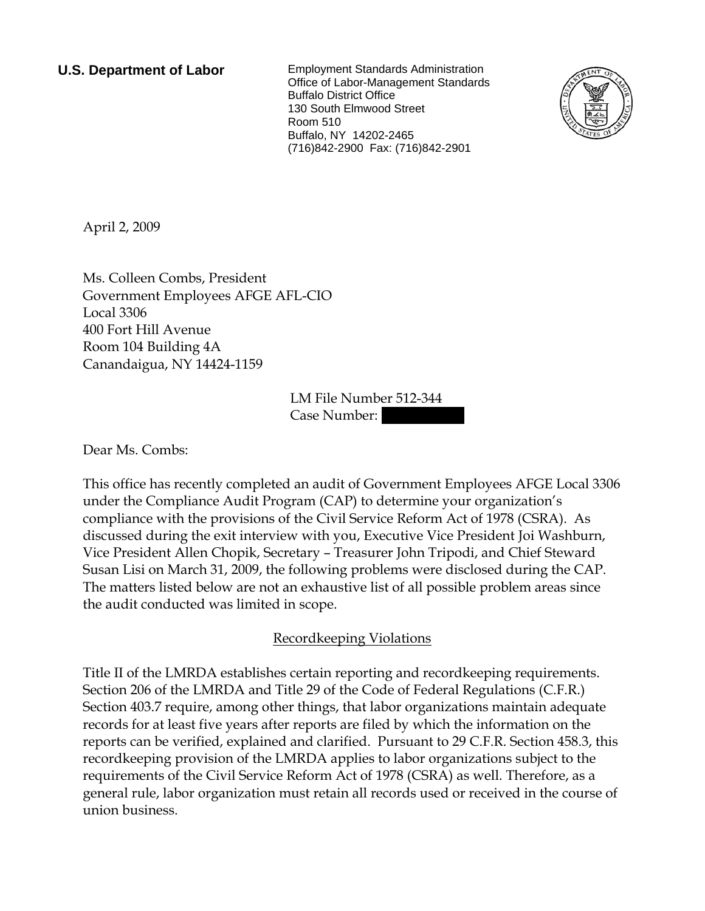**U.S. Department of Labor** Employment Standards Administration Office of Labor-Management Standards Buffalo District Office 130 South Elmwood Street Room 510 Buffalo, NY 14202-2465 (716)842-2900 Fax: (716)842-2901



April 2, 2009

Ms. Colleen Combs, President Government Employees AFGE AFL-CIO Local 3306 400 Fort Hill Avenue Room 104 Building 4A Canandaigua, NY 14424-1159

> LM File Number 512-344 Case Number:

Dear Ms. Combs:

This office has recently completed an audit of Government Employees AFGE Local 3306 under the Compliance Audit Program (CAP) to determine your organization's compliance with the provisions of the Civil Service Reform Act of 1978 (CSRA). As discussed during the exit interview with you, Executive Vice President Joi Washburn, Vice President Allen Chopik, Secretary – Treasurer John Tripodi, and Chief Steward Susan Lisi on March 31, 2009, the following problems were disclosed during the CAP. The matters listed below are not an exhaustive list of all possible problem areas since the audit conducted was limited in scope.

# Recordkeeping Violations

Title II of the LMRDA establishes certain reporting and recordkeeping requirements. Section 206 of the LMRDA and Title 29 of the Code of Federal Regulations (C.F.R.) Section 403.7 require, among other things, that labor organizations maintain adequate records for at least five years after reports are filed by which the information on the reports can be verified, explained and clarified. Pursuant to 29 C.F.R. Section 458.3, this recordkeeping provision of the LMRDA applies to labor organizations subject to the requirements of the Civil Service Reform Act of 1978 (CSRA) as well. Therefore, as a general rule, labor organization must retain all records used or received in the course of union business.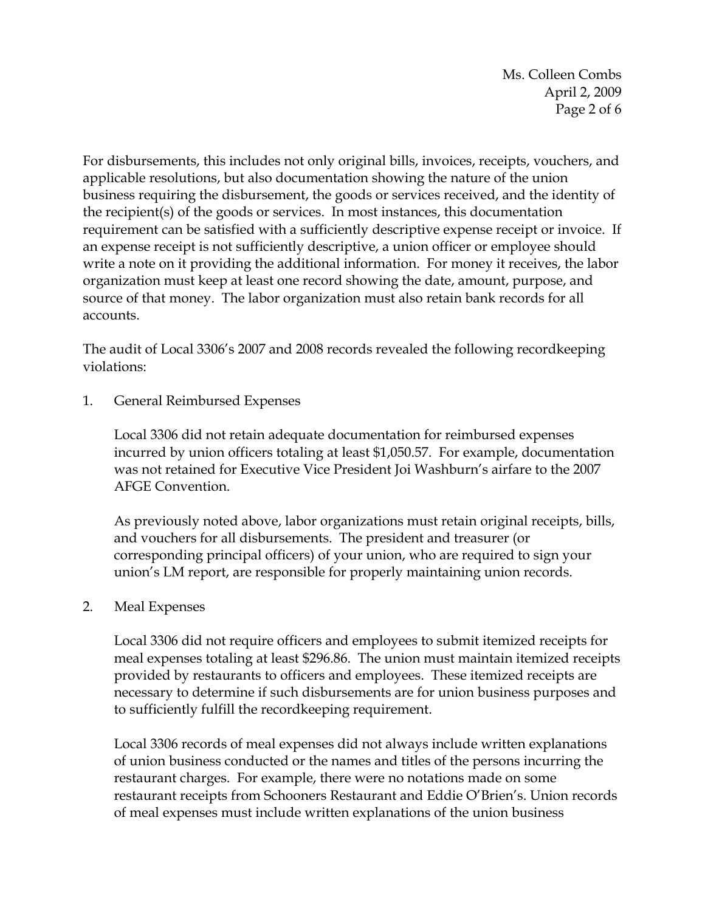Ms. Colleen Combs April 2, 2009 Page 2 of 6

For disbursements, this includes not only original bills, invoices, receipts, vouchers, and applicable resolutions, but also documentation showing the nature of the union business requiring the disbursement, the goods or services received, and the identity of the recipient(s) of the goods or services. In most instances, this documentation requirement can be satisfied with a sufficiently descriptive expense receipt or invoice. If an expense receipt is not sufficiently descriptive, a union officer or employee should write a note on it providing the additional information. For money it receives, the labor organization must keep at least one record showing the date, amount, purpose, and source of that money. The labor organization must also retain bank records for all accounts.

The audit of Local 3306's 2007 and 2008 records revealed the following recordkeeping violations:

1. General Reimbursed Expenses

Local 3306 did not retain adequate documentation for reimbursed expenses incurred by union officers totaling at least \$1,050.57. For example, documentation was not retained for Executive Vice President Joi Washburn's airfare to the 2007 AFGE Convention.

As previously noted above, labor organizations must retain original receipts, bills, and vouchers for all disbursements. The president and treasurer (or corresponding principal officers) of your union, who are required to sign your union's LM report, are responsible for properly maintaining union records.

2. Meal Expenses

Local 3306 did not require officers and employees to submit itemized receipts for meal expenses totaling at least \$296.86. The union must maintain itemized receipts provided by restaurants to officers and employees. These itemized receipts are necessary to determine if such disbursements are for union business purposes and to sufficiently fulfill the recordkeeping requirement.

Local 3306 records of meal expenses did not always include written explanations of union business conducted or the names and titles of the persons incurring the restaurant charges. For example, there were no notations made on some restaurant receipts from Schooners Restaurant and Eddie O'Brien's. Union records of meal expenses must include written explanations of the union business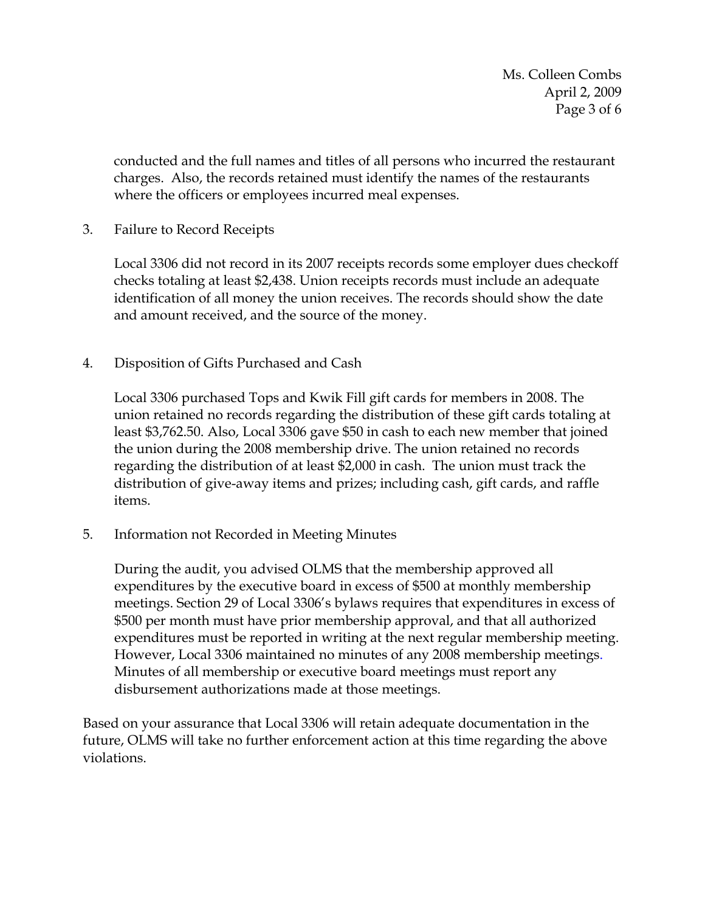conducted and the full names and titles of all persons who incurred the restaurant charges. Also, the records retained must identify the names of the restaurants where the officers or employees incurred meal expenses.

3. Failure to Record Receipts

Local 3306 did not record in its 2007 receipts records some employer dues checkoff checks totaling at least \$2,438. Union receipts records must include an adequate identification of all money the union receives. The records should show the date and amount received, and the source of the money.

4. Disposition of Gifts Purchased and Cash

Local 3306 purchased Tops and Kwik Fill gift cards for members in 2008. The union retained no records regarding the distribution of these gift cards totaling at least \$3,762.50. Also, Local 3306 gave \$50 in cash to each new member that joined the union during the 2008 membership drive. The union retained no records regarding the distribution of at least \$2,000 in cash. The union must track the distribution of give-away items and prizes; including cash, gift cards, and raffle items.

5. Information not Recorded in Meeting Minutes

During the audit, you advised OLMS that the membership approved all expenditures by the executive board in excess of \$500 at monthly membership meetings. Section 29 of Local 3306's bylaws requires that expenditures in excess of \$500 per month must have prior membership approval, and that all authorized expenditures must be reported in writing at the next regular membership meeting. However, Local 3306 maintained no minutes of any 2008 membership meetings. Minutes of all membership or executive board meetings must report any disbursement authorizations made at those meetings.

Based on your assurance that Local 3306 will retain adequate documentation in the future, OLMS will take no further enforcement action at this time regarding the above violations.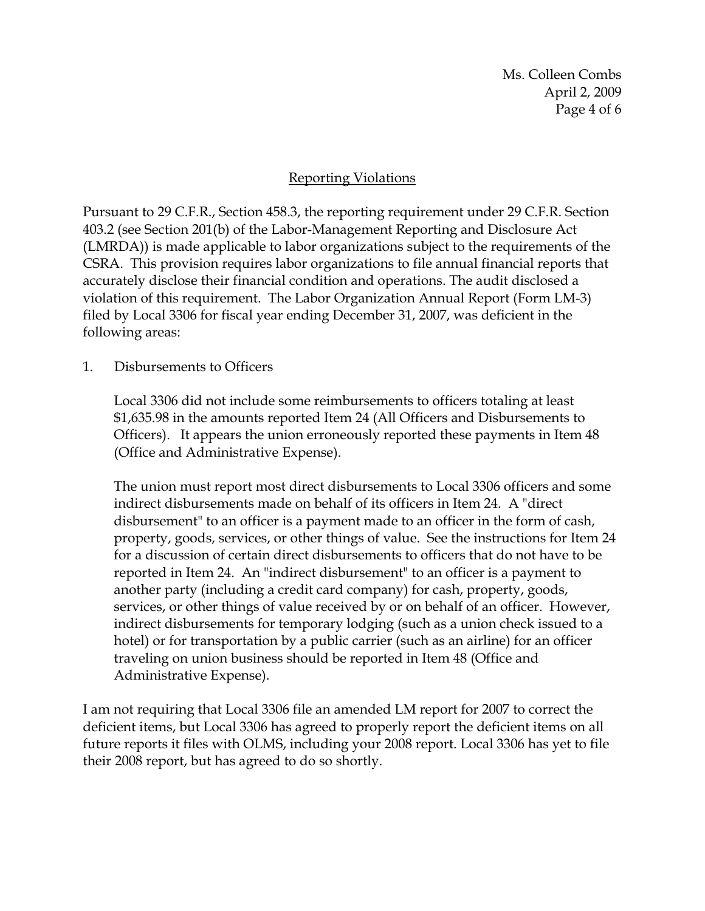Ms. Colleen Combs April 2, 2009 Page 4 of 6

## Reporting Violations

Pursuant to 29 C.F.R., Section 458.3, the reporting requirement under 29 C.F.R. Section 403.2 (see Section 201(b) of the Labor-Management Reporting and Disclosure Act (LMRDA)) is made applicable to labor organizations subject to the requirements of the CSRA. This provision requires labor organizations to file annual financial reports that accurately disclose their financial condition and operations. The audit disclosed a violation of this requirement. The Labor Organization Annual Report (Form LM-3) filed by Local 3306 for fiscal year ending December 31, 2007, was deficient in the following areas:

#### 1. Disbursements to Officers

Local 3306 did not include some reimbursements to officers totaling at least \$1,635.98 in the amounts reported Item 24 (All Officers and Disbursements to Officers). It appears the union erroneously reported these payments in Item 48 (Office and Administrative Expense).

The union must report most direct disbursements to Local 3306 officers and some indirect disbursements made on behalf of its officers in Item 24. A "direct disbursement" to an officer is a payment made to an officer in the form of cash, property, goods, services, or other things of value. See the instructions for Item 24 for a discussion of certain direct disbursements to officers that do not have to be reported in Item 24. An "indirect disbursement" to an officer is a payment to another party (including a credit card company) for cash, property, goods, services, or other things of value received by or on behalf of an officer. However, indirect disbursements for temporary lodging (such as a union check issued to a hotel) or for transportation by a public carrier (such as an airline) for an officer traveling on union business should be reported in Item 48 (Office and Administrative Expense).

I am not requiring that Local 3306 file an amended LM report for 2007 to correct the deficient items, but Local 3306 has agreed to properly report the deficient items on all future reports it files with OLMS, including your 2008 report. Local 3306 has yet to file their 2008 report, but has agreed to do so shortly.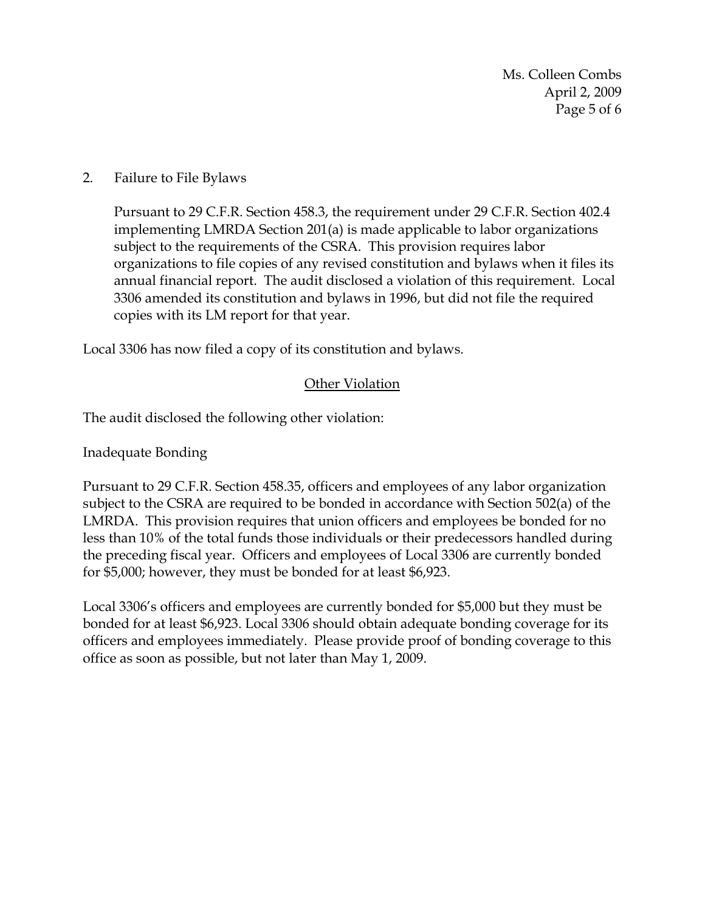Ms. Colleen Combs April 2, 2009 Page 5 of 6

### 2. Failure to File Bylaws

Pursuant to 29 C.F.R. Section 458.3, the requirement under 29 C.F.R. Section 402.4 implementing LMRDA Section 201(a) is made applicable to labor organizations subject to the requirements of the CSRA. This provision requires labor organizations to file copies of any revised constitution and bylaws when it files its annual financial report. The audit disclosed a violation of this requirement. Local 3306 amended its constitution and bylaws in 1996, but did not file the required copies with its LM report for that year.

Local 3306 has now filed a copy of its constitution and bylaws.

## Other Violation

The audit disclosed the following other violation:

Inadequate Bonding

Pursuant to 29 C.F.R. Section 458.35, officers and employees of any labor organization subject to the CSRA are required to be bonded in accordance with Section 502(a) of the LMRDA. This provision requires that union officers and employees be bonded for no less than 10% of the total funds those individuals or their predecessors handled during the preceding fiscal year. Officers and employees of Local 3306 are currently bonded for \$5,000; however, they must be bonded for at least \$6,923.

Local 3306's officers and employees are currently bonded for \$5,000 but they must be bonded for at least \$6,923. Local 3306 should obtain adequate bonding coverage for its officers and employees immediately. Please provide proof of bonding coverage to this office as soon as possible, but not later than May 1, 2009.